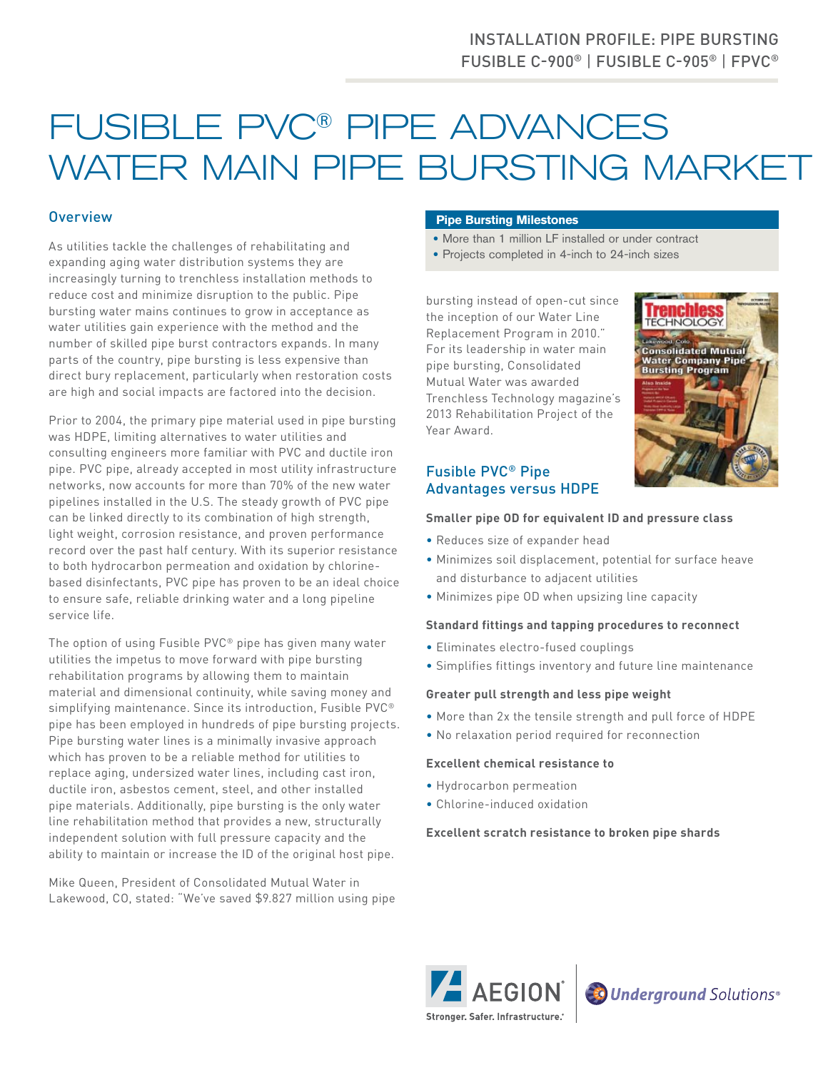# FUSIBLE PVC® PIPE ADVANCES WATER MAIN PIPE BURSTING MARKET

## **Overview**

As utilities tackle the challenges of rehabilitating and expanding aging water distribution systems they are increasingly turning to trenchless installation methods to reduce cost and minimize disruption to the public. Pipe bursting water mains continues to grow in acceptance as water utilities gain experience with the method and the number of skilled pipe burst contractors expands. In many parts of the country, pipe bursting is less expensive than direct bury replacement, particularly when restoration costs are high and social impacts are factored into the decision.

Prior to 2004, the primary pipe material used in pipe bursting was HDPE, limiting alternatives to water utilities and consulting engineers more familiar with PVC and ductile iron pipe. PVC pipe, already accepted in most utility infrastructure networks, now accounts for more than 70% of the new water pipelines installed in the U.S. The steady growth of PVC pipe can be linked directly to its combination of high strength, light weight, corrosion resistance, and proven performance record over the past half century. With its superior resistance to both hydrocarbon permeation and oxidation by chlorinebased disinfectants, PVC pipe has proven to be an ideal choice to ensure safe, reliable drinking water and a long pipeline service life.

The option of using Fusible PVC® pipe has given many water utilities the impetus to move forward with pipe bursting rehabilitation programs by allowing them to maintain material and dimensional continuity, while saving money and simplifying maintenance. Since its introduction, Fusible PVC® pipe has been employed in hundreds of pipe bursting projects. Pipe bursting water lines is a minimally invasive approach which has proven to be a reliable method for utilities to replace aging, undersized water lines, including cast iron, ductile iron, asbestos cement, steel, and other installed pipe materials. Additionally, pipe bursting is the only water line rehabilitation method that provides a new, structurally independent solution with full pressure capacity and the ability to maintain or increase the ID of the original host pipe.

Mike Queen, President of Consolidated Mutual Water in Lakewood, CO, stated: "We've saved \$9.827 million using pipe

#### **Pipe Bursting Milestones**

- More than 1 million LF installed or under contract
- Projects completed in 4-inch to 24-inch sizes

bursting instead of open-cut since the inception of our Water Line Replacement Program in 2010." For its leadership in water main pipe bursting, Consolidated Mutual Water was awarded Trenchless Technology magazine's 2013 Rehabilitation Project of the Year Award.



## Fusible PVC® Pipe Advantages versus HDPE

#### **Smaller pipe OD for equivalent ID and pressure class**

- Reduces size of expander head
- Minimizes soil displacement, potential for surface heave and disturbance to adjacent utilities
- Minimizes pipe OD when upsizing line capacity

#### **Standard fittings and tapping procedures to reconnect**

- Eliminates electro-fused couplings
- Simplifies fittings inventory and future line maintenance

#### **Greater pull strength and less pipe weight**

- More than 2x the tensile strength and pull force of HDPE
- No relaxation period required for reconnection

#### **Excellent chemical resistance to**

- Hydrocarbon permeation
- Chlorine-induced oxidation

#### **Excellent scratch resistance to broken pipe shards**